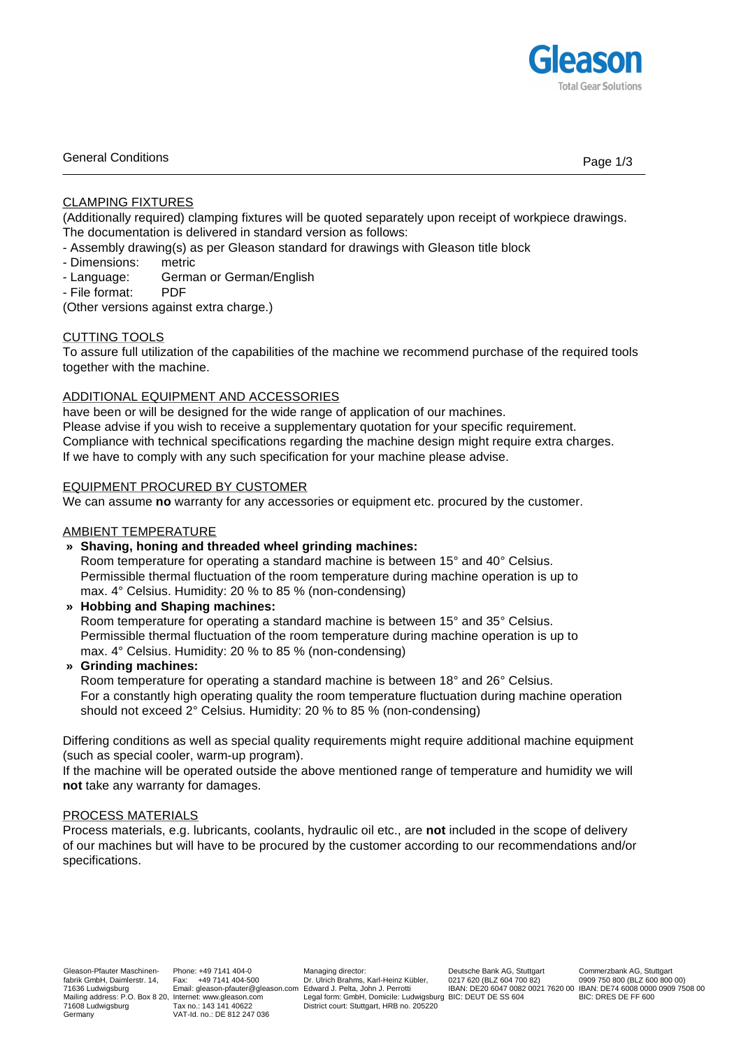

# General Conditions **Page 1/3**

# CLAMPING FIXTURES

(Additionally required) clamping fixtures will be quoted separately upon receipt of workpiece drawings. The documentation is delivered in standard version as follows:

- Assembly drawing(s) as per Gleason standard for drawings with Gleason title block
- Dimensions: metric
- Language: German or German/English
- File format: PDF

(Other versions against extra charge.)

# CUTTING TOOLS

To assure full utilization of the capabilities of the machine we recommend purchase of the required tools together with the machine.

# ADDITIONAL EQUIPMENT AND ACCESSORIES

have been or will be designed for the wide range of application of our machines. Please advise if you wish to receive a supplementary quotation for your specific requirement. Compliance with technical specifications regarding the machine design might require extra charges. If we have to comply with any such specification for your machine please advise.

## EQUIPMENT PROCURED BY CUSTOMER

We can assume **no** warranty for any accessories or equipment etc. procured by the customer.

### AMBIENT TEMPERATURE

### **» Shaving, honing and threaded wheel grinding machines:**

Room temperature for operating a standard machine is between 15° and 40° Celsius. Permissible thermal fluctuation of the room temperature during machine operation is up to max. 4° Celsius. Humidity: 20 % to 85 % (non-condensing)

**» Hobbing and Shaping machines:**

Room temperature for operating a standard machine is between 15° and 35° Celsius. Permissible thermal fluctuation of the room temperature during machine operation is up to max. 4° Celsius. Humidity: 20 % to 85 % (non-condensing)

**» Grinding machines:**

Room temperature for operating a standard machine is between 18° and 26° Celsius. For a constantly high operating quality the room temperature fluctuation during machine operation should not exceed 2° Celsius. Humidity: 20 % to 85 % (non-condensing)

Differing conditions as well as special quality requirements might require additional machine equipment (such as special cooler, warm-up program).

If the machine will be operated outside the above mentioned range of temperature and humidity we will **not** take any warranty for damages.

### PROCESS MATERIALS

Process materials, e.g. lubricants, coolants, hydraulic oil etc., are **not** included in the scope of delivery of our machines but will have to be procured by the customer according to our recommendations and/or specifications.

Managing director: Dr. Ulrich Brahms, Karl-Heinz Kübler, Legal form: GmbH, Domicile: Ludwigsburg BIC: DEUT DE SS 604 District court: Stuttgart, HRB no. 205220

Deutsche Bank AG, Stuttgart 0217 620 (BLZ 604 700 82)

IBAN: DE20 6047 0082 0021 7620 00 IBAN: DE74 6008 0000 0909 7508 00 Commerzbank AG, Stuttgart 0909 750 800 (BLZ 600 800 00) BIC: DRES DE FF 600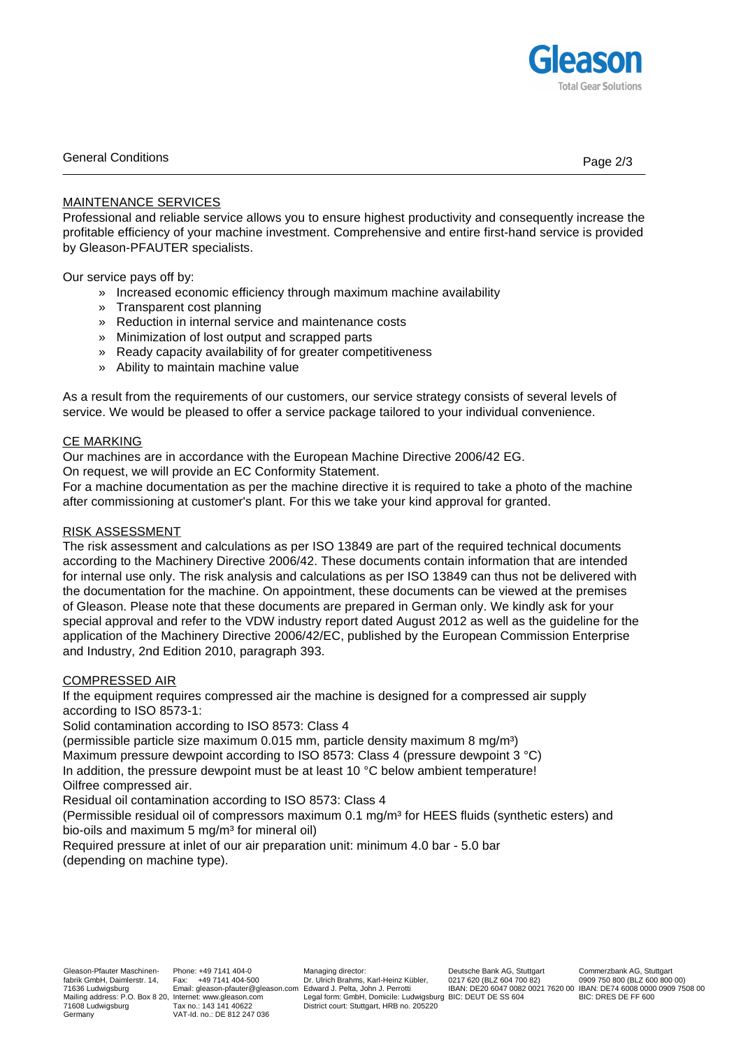

# General Conditions **Page 2/3**

## MAINTENANCE SERVICES

Professional and reliable service allows you to ensure highest productivity and consequently increase the profitable efficiency of your machine investment. Comprehensive and entire first-hand service is provided by Gleason-PFAUTER specialists.

Our service pays off by:

- » Increased economic efficiency through maximum machine availability
- » Transparent cost planning
- » Reduction in internal service and maintenance costs
- » Minimization of lost output and scrapped parts
- » Ready capacity availability of for greater competitiveness
- » Ability to maintain machine value

As a result from the requirements of our customers, our service strategy consists of several levels of service. We would be pleased to offer a service package tailored to your individual convenience.

### CE MARKING

Our machines are in accordance with the European Machine Directive 2006/42 EG.

On request, we will provide an EC Conformity Statement.

For a machine documentation as per the machine directive it is required to take a photo of the machine after commissioning at customer's plant. For this we take your kind approval for granted.

## RISK ASSESSMENT

The risk assessment and calculations as per ISO 13849 are part of the required technical documents according to the Machinery Directive 2006/42. These documents contain information that are intended for internal use only. The risk analysis and calculations as per ISO 13849 can thus not be delivered with the documentation for the machine. On appointment, these documents can be viewed at the premises of Gleason. Please note that these documents are prepared in German only. We kindly ask for your special approval and refer to the VDW industry report dated August 2012 as well as the guideline for the application of the Machinery Directive 2006/42/EC, published by the European Commission Enterprise and Industry, 2nd Edition 2010, paragraph 393.

# COMPRESSED AIR

If the equipment requires compressed air the machine is designed for a compressed air supply according to ISO 8573-1:

Solid contamination according to ISO 8573: Class 4

(permissible particle size maximum  $0.015$  mm, particle density maximum 8 mg/m<sup>3</sup>) Maximum pressure dewpoint according to ISO 8573: Class 4 (pressure dewpoint 3 °C) In addition, the pressure dewpoint must be at least 10 °C below ambient temperature! Oilfree compressed air.

Residual oil contamination according to ISO 8573: Class 4

(Permissible residual oil of compressors maximum 0.1 mg/m<sup>3</sup> for HEES fluids (synthetic esters) and bio-oils and maximum 5 mg/m<sup>3</sup> for mineral oil)

Required pressure at inlet of our air preparation unit: minimum 4.0 bar - 5.0 bar (depending on machine type).

IBAN: DE20 6047 0082 0021 7620 00 IBAN: DE74 6008 0000 0909 7508 00 Commerzbank AG, Stuttgart 0909 750 800 (BLZ 600 800 00) BIC: DRES DE FF 600